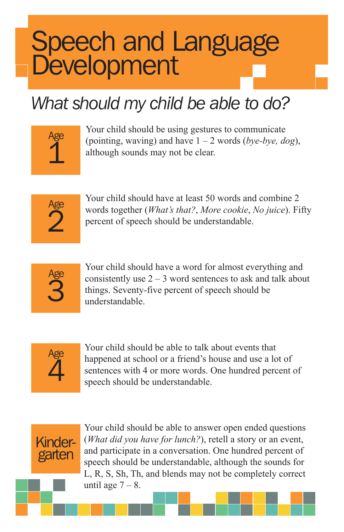# Speech and Language **Development**

#### *What should my child be able to do?*

| įе<br>÷. |  |
|----------|--|
|          |  |
|          |  |
|          |  |

Your child should be using gestures to communicate (pointing, waving) and have 1 – 2 words (*bye-bye, dog*), although sounds may not be clear.



Your child should have at least 50 words and combine 2 words together (*What's that?*, *More cookie*, *No juice*). Fifty percent of speech should be understandable.



Your child should have a word for almost everything and consistently use  $2 - 3$  word sentences to ask and talk about things. Seventy-five percent of speech should be understandable.



Your child should be able to talk about events that happened at school or a friend's house and use a lot of sentences with 4 or more words. One hundred percent of speech should be understandable.



Your child should be able to answer open ended questions (*What did you have for lunch?*), retell a story or an event, and participate in a conversation. One hundred percent of speech should be understandable, although the sounds for L, R, S, Sh, Th, and blends may not be completely correct until age  $7 - 8$ .